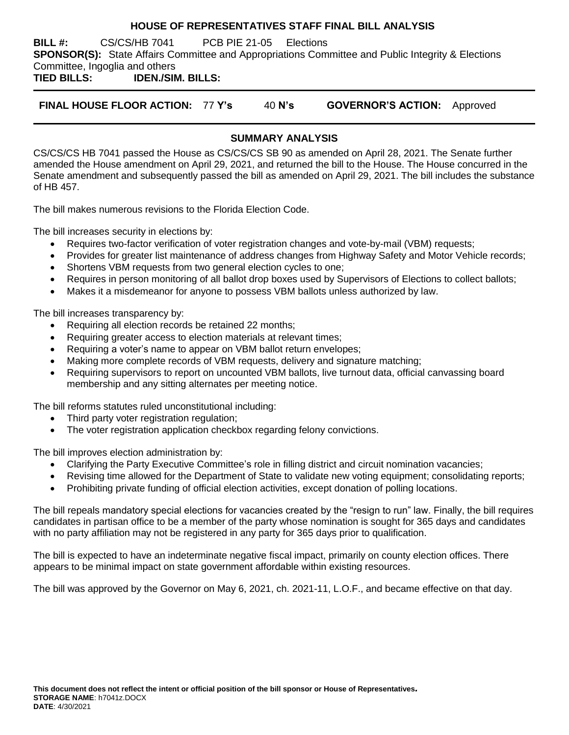#### **HOUSE OF REPRESENTATIVES STAFF FINAL BILL ANALYSIS**

**BILL #:** CS/CS/HB 7041 PCB PIE 21-05 Elections **SPONSOR(S):** State Affairs Committee and Appropriations Committee and Public Integrity & Elections Committee, Ingoglia and others

**TIED BILLS: IDEN./SIM. BILLS:**

**FINAL HOUSE FLOOR ACTION:** 77 **Y's** 40 **N's GOVERNOR'S ACTION:** Approved

## **SUMMARY ANALYSIS**

CS/CS/CS HB 7041 passed the House as CS/CS/CS SB 90 as amended on April 28, 2021. The Senate further amended the House amendment on April 29, 2021, and returned the bill to the House. The House concurred in the Senate amendment and subsequently passed the bill as amended on April 29, 2021. The bill includes the substance of HB 457.

The bill makes numerous revisions to the Florida Election Code.

The bill increases security in elections by:

- Requires two-factor verification of voter registration changes and vote-by-mail (VBM) requests;
- Provides for greater list maintenance of address changes from Highway Safety and Motor Vehicle records;
- Shortens VBM requests from two general election cycles to one;
- Requires in person monitoring of all ballot drop boxes used by Supervisors of Elections to collect ballots;
- Makes it a misdemeanor for anyone to possess VBM ballots unless authorized by law.

The bill increases transparency by:

- Requiring all election records be retained 22 months;
- Requiring greater access to election materials at relevant times;
- Requiring a voter's name to appear on VBM ballot return envelopes;
- Making more complete records of VBM requests, delivery and signature matching;
- Requiring supervisors to report on uncounted VBM ballots, live turnout data, official canvassing board membership and any sitting alternates per meeting notice.

The bill reforms statutes ruled unconstitutional including:

- Third party voter registration regulation;
- The voter registration application checkbox regarding felony convictions.

The bill improves election administration by:

- Clarifying the Party Executive Committee's role in filling district and circuit nomination vacancies;
- Revising time allowed for the Department of State to validate new voting equipment; consolidating reports;
- Prohibiting private funding of official election activities, except donation of polling locations.

The bill repeals mandatory special elections for vacancies created by the "resign to run" law. Finally, the bill requires candidates in partisan office to be a member of the party whose nomination is sought for 365 days and candidates with no party affiliation may not be registered in any party for 365 days prior to qualification.

The bill is expected to have an indeterminate negative fiscal impact, primarily on county election offices. There appears to be minimal impact on state government affordable within existing resources.

The bill was approved by the Governor on May 6, 2021, ch. 2021-11, L.O.F., and became effective on that day.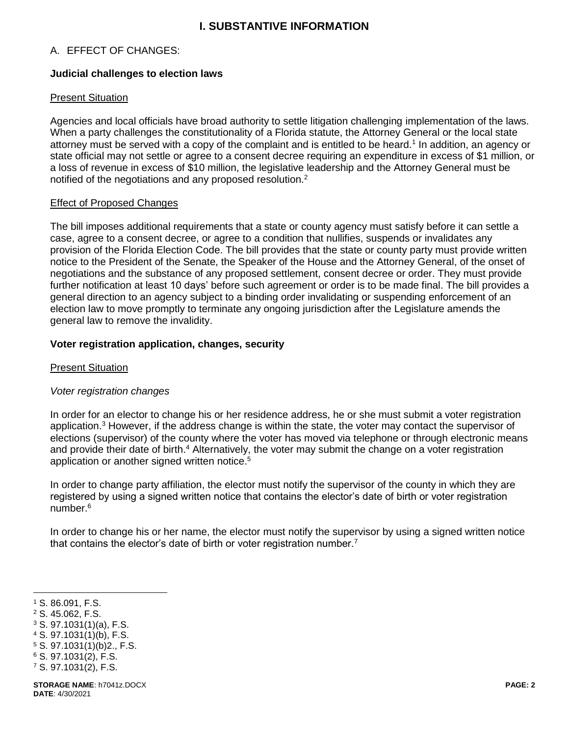## **I. SUBSTANTIVE INFORMATION**

## A. EFFECT OF CHANGES:

#### **Judicial challenges to election laws**

#### Present Situation

Agencies and local officials have broad authority to settle litigation challenging implementation of the laws. When a party challenges the constitutionality of a Florida statute, the Attorney General or the local state attorney must be served with a copy of the complaint and is entitled to be heard.<sup>1</sup> In addition, an agency or state official may not settle or agree to a consent decree requiring an expenditure in excess of \$1 million, or a loss of revenue in excess of \$10 million, the legislative leadership and the Attorney General must be notified of the negotiations and any proposed resolution.<sup>2</sup>

#### Effect of Proposed Changes

The bill imposes additional requirements that a state or county agency must satisfy before it can settle a case, agree to a consent decree, or agree to a condition that nullifies, suspends or invalidates any provision of the Florida Election Code. The bill provides that the state or county party must provide written notice to the President of the Senate, the Speaker of the House and the Attorney General, of the onset of negotiations and the substance of any proposed settlement, consent decree or order. They must provide further notification at least 10 days' before such agreement or order is to be made final. The bill provides a general direction to an agency subject to a binding order invalidating or suspending enforcement of an election law to move promptly to terminate any ongoing jurisdiction after the Legislature amends the general law to remove the invalidity.

#### **Voter registration application, changes, security**

#### Present Situation

## *Voter registration changes*

In order for an elector to change his or her residence address, he or she must submit a voter registration application.<sup>3</sup> However, if the address change is within the state, the voter may contact the supervisor of elections (supervisor) of the county where the voter has moved via telephone or through electronic means and provide their date of birth.<sup>4</sup> Alternatively, the voter may submit the change on a voter registration application or another signed written notice.<sup>5</sup>

In order to change party affiliation, the elector must notify the supervisor of the county in which they are registered by using a signed written notice that contains the elector's date of birth or voter registration number  $6$ 

In order to change his or her name, the elector must notify the supervisor by using a signed written notice that contains the elector's date of birth or voter registration number.<sup>7</sup>

- <sup>2</sup> S. 45.062, F.S.
- <sup>3</sup> S. 97.1031(1)(a), F.S.
- <sup>4</sup> S. 97.1031(1)(b), F.S.
- <sup>5</sup> S. 97.1031(1)(b)2., F.S.
- <sup>6</sup> S. 97.1031(2), F.S.
- <sup>7</sup> S. 97.1031(2), F.S.

 $\overline{a}$ <sup>1</sup> S. 86.091, F.S.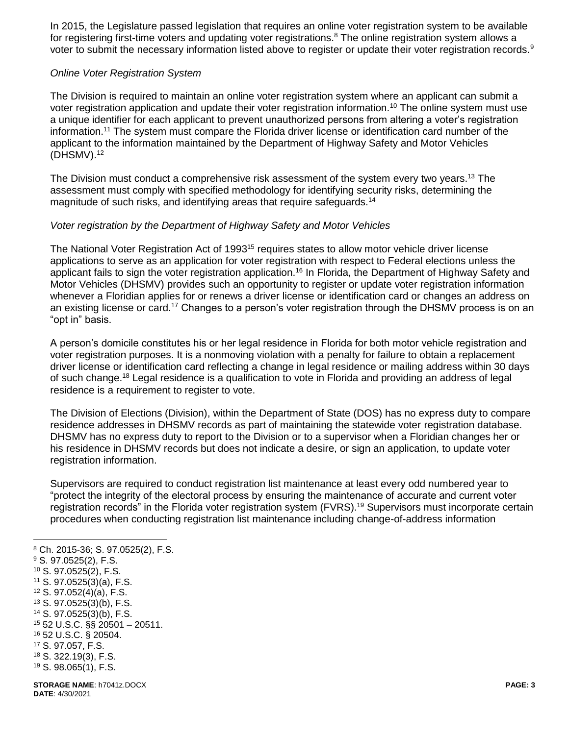In 2015, the Legislature passed legislation that requires an online voter registration system to be available for registering first-time voters and updating voter registrations.<sup>8</sup> The online registration system allows a voter to submit the necessary information listed above to register or update their voter registration records.<sup>9</sup>

#### *Online Voter Registration System*

The Division is required to maintain an online voter registration system where an applicant can submit a voter registration application and update their voter registration information.<sup>10</sup> The online system must use a unique identifier for each applicant to prevent unauthorized persons from altering a voter's registration information.<sup>11</sup> The system must compare the Florida driver license or identification card number of the applicant to the information maintained by the Department of Highway Safety and Motor Vehicles  $(DHSMV).$ <sup>12</sup>

The Division must conduct a comprehensive risk assessment of the system every two years.<sup>13</sup> The assessment must comply with specified methodology for identifying security risks, determining the magnitude of such risks, and identifying areas that require safeguards.<sup>14</sup>

## *Voter registration by the Department of Highway Safety and Motor Vehicles*

The National Voter Registration Act of 1993<sup>15</sup> requires states to allow motor vehicle driver license applications to serve as an application for voter registration with respect to Federal elections unless the applicant fails to sign the voter registration application.<sup>16</sup> In Florida, the Department of Highway Safety and Motor Vehicles (DHSMV) provides such an opportunity to register or update voter registration information whenever a Floridian applies for or renews a driver license or identification card or changes an address on an existing license or card.<sup>17</sup> Changes to a person's voter registration through the DHSMV process is on an "opt in" basis.

A person's domicile constitutes his or her legal residence in Florida for both motor vehicle registration and voter registration purposes. It is a nonmoving violation with a penalty for failure to obtain a replacement driver license or identification card reflecting a change in legal residence or mailing address within 30 days of such change.<sup>18</sup> Legal residence is a qualification to vote in Florida and providing an address of legal residence is a requirement to register to vote.

The Division of Elections (Division), within the Department of State (DOS) has no express duty to compare residence addresses in DHSMV records as part of maintaining the statewide voter registration database. DHSMV has no express duty to report to the Division or to a supervisor when a Floridian changes her or his residence in DHSMV records but does not indicate a desire, or sign an application, to update voter registration information.

Supervisors are required to conduct registration list maintenance at least every odd numbered year to "protect the integrity of the electoral process by ensuring the maintenance of accurate and current voter registration records" in the Florida voter registration system (FVRS).<sup>19</sup> Supervisors must incorporate certain procedures when conducting registration list maintenance including change-of-address information

**DATE**: 4/30/2021

**STORAGE NAME**: h7041z.DOCX **PAGE: 3** <sup>8</sup> Ch. 2015-36; S. 97.0525(2), F.S. <sup>9</sup> S. 97.0525(2), F.S. <sup>10</sup> S. 97.0525(2), F.S. <sup>11</sup> S. 97.0525(3)(a), F.S. <sup>12</sup> S. 97.052(4)(a), F.S. <sup>13</sup> S. 97.0525(3)(b), F.S. <sup>14</sup> S. 97.0525(3)(b), F.S. <sup>15</sup> 52 U.S.C. §§ 20501 – 20511. <sup>16</sup> 52 U.S.C. § 20504. <sup>17</sup> S. 97.057, F.S. <sup>18</sup> S. 322.19(3), F.S. <sup>19</sup> S. 98.065(1), F.S.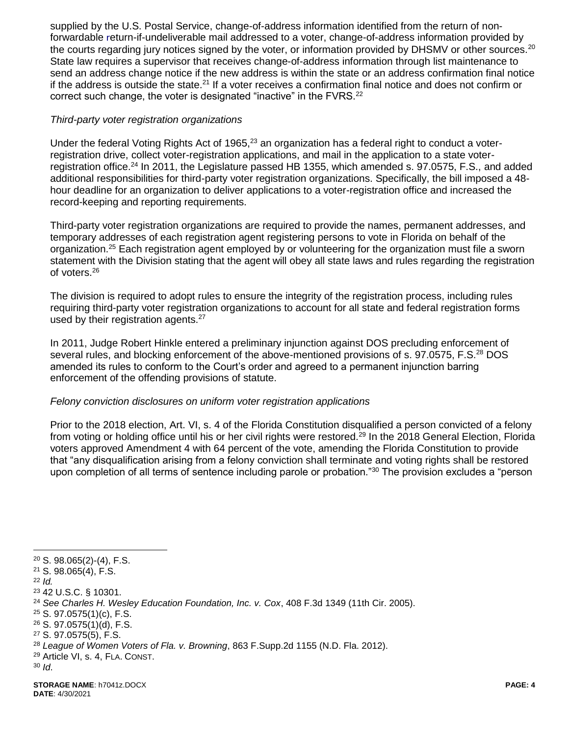supplied by the U.S. Postal Service, change-of-address information identified from the return of nonforwardable return-if-undeliverable mail addressed to a voter, change-of-address information provided by the courts regarding jury notices signed by the voter, or information provided by DHSMV or other sources.<sup>20</sup> State law requires a supervisor that receives change-of-address information through list maintenance to send an address change notice if the new address is within the state or an address confirmation final notice if the address is outside the state.<sup>21</sup> If a voter receives a confirmation final notice and does not confirm or correct such change, the voter is designated "inactive" in the FVRS.<sup>22</sup>

## *Third-party voter registration organizations*

Under the federal Voting Rights Act of 1965,<sup>23</sup> an organization has a federal right to conduct a voterregistration drive, collect voter-registration applications, and mail in the application to a state voterregistration office.<sup>24</sup> In 2011, the Legislature passed HB 1355, which amended s. 97.0575, F.S., and added additional responsibilities for third-party voter registration organizations. Specifically, the bill imposed a 48 hour deadline for an organization to deliver applications to a voter-registration office and increased the record-keeping and reporting requirements.

Third-party voter registration organizations are required to provide the names, permanent addresses, and temporary addresses of each registration agent registering persons to vote in Florida on behalf of the organization.<sup>25</sup> Each registration agent employed by or volunteering for the organization must file a sworn statement with the Division stating that the agent will obey all state laws and rules regarding the registration of voters.<sup>26</sup>

The division is required to adopt rules to ensure the integrity of the registration process, including rules requiring third-party voter registration organizations to account for all state and federal registration forms used by their registration agents.<sup>27</sup>

In 2011, Judge Robert Hinkle entered a preliminary injunction against DOS precluding enforcement of several rules, and blocking enforcement of the above-mentioned provisions of s. 97.0575, F.S.<sup>28</sup> DOS amended its rules to conform to the Court's order and agreed to a permanent injunction barring enforcement of the offending provisions of statute.

## *Felony conviction disclosures on uniform voter registration applications*

Prior to the 2018 election, Art. VI, s. 4 of the Florida Constitution disqualified a person convicted of a felony from voting or holding office until his or her civil rights were restored.<sup>29</sup> In the 2018 General Election, Florida voters approved Amendment 4 with 64 percent of the vote, amending the Florida Constitution to provide that "any disqualification arising from a felony conviction shall terminate and voting rights shall be restored upon completion of all terms of sentence including parole or probation."<sup>30</sup> The provision excludes a "person

<sup>20</sup> S. 98.065(2)-(4), F.S.

<sup>21</sup> S. 98.065(4), F.S.

<sup>22</sup> *Id.* 

<sup>23</sup> 42 U.S.C. § 10301.

<sup>24</sup> *See Charles H. Wesley Education Foundation, Inc. v. Cox*, 408 F.3d 1349 (11th Cir. 2005).

<sup>25</sup> S. 97.0575(1)(c), F.S.

<sup>26</sup> S. 97.0575(1)(d), F.S.

<sup>27</sup> S. 97.0575(5), F.S.

<sup>28</sup> *League of Women Voters of Fla. v. Browning*, 863 F.Supp.2d 1155 (N.D. Fla. 2012).

<sup>29</sup> Article VI, s. 4, FLA. CONST.

<sup>30</sup> *Id*.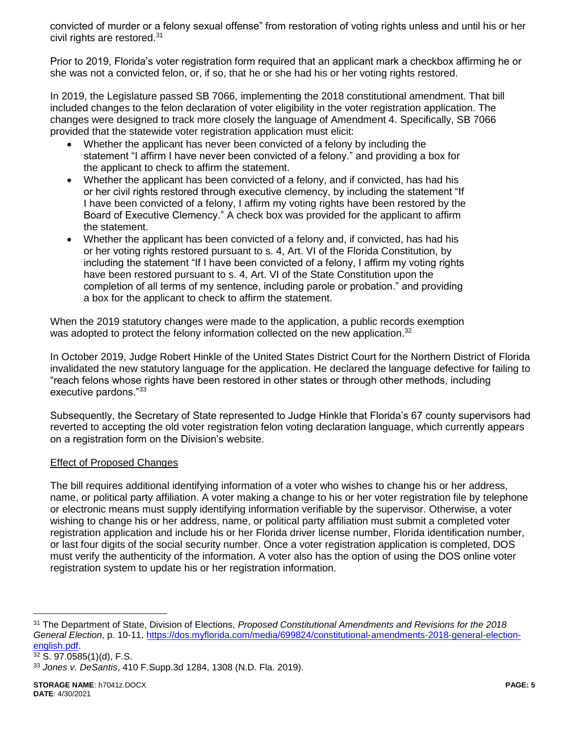convicted of murder or a felony sexual offense" from restoration of voting rights unless and until his or her civil rights are restored.<sup>31</sup>

Prior to 2019, Florida's voter registration form required that an applicant mark a checkbox affirming he or she was not a convicted felon, or, if so, that he or she had his or her voting rights restored.

In 2019, the Legislature passed SB 7066, implementing the 2018 constitutional amendment. That bill included changes to the felon declaration of voter eligibility in the voter registration application. The changes were designed to track more closely the language of Amendment 4. Specifically, SB 7066 provided that the statewide voter registration application must elicit:

- Whether the applicant has never been convicted of a felony by including the statement "I affirm I have never been convicted of a felony." and providing a box for the applicant to check to affirm the statement.
- Whether the applicant has been convicted of a felony, and if convicted, has had his or her civil rights restored through executive clemency, by including the statement "If I have been convicted of a felony, I affirm my voting rights have been restored by the Board of Executive Clemency." A check box was provided for the applicant to affirm the statement.
- Whether the applicant has been convicted of a felony and, if convicted, has had his or her voting rights restored pursuant to s. 4, Art. VI of the Florida Constitution, by including the statement "If I have been convicted of a felony, I affirm my voting rights have been restored pursuant to s. 4, Art. VI of the State Constitution upon the completion of all terms of my sentence, including parole or probation." and providing a box for the applicant to check to affirm the statement.

When the 2019 statutory changes were made to the application, a public records exemption was adopted to protect the felony information collected on the new application.<sup>32</sup>

In October 2019, Judge Robert Hinkle of the United States District Court for the Northern District of Florida invalidated the new statutory language for the application. He declared the language defective for failing to "reach felons whose rights have been restored in other states or through other methods, including executive pardons."<sup>33</sup>

Subsequently, the Secretary of State represented to Judge Hinkle that Florida's 67 county supervisors had reverted to accepting the old voter registration felon voting declaration language, which currently appears on a registration form on the Division's website.

## Effect of Proposed Changes

The bill requires additional identifying information of a voter who wishes to change his or her address, name, or political party affiliation. A voter making a change to his or her voter registration file by telephone or electronic means must supply identifying information verifiable by the supervisor. Otherwise, a voter wishing to change his or her address, name, or political party affiliation must submit a completed voter registration application and include his or her Florida driver license number, Florida identification number, or last four digits of the social security number. Once a voter registration application is completed, DOS must verify the authenticity of the information. A voter also has the option of using the DOS online voter registration system to update his or her registration information.

<sup>31</sup> The Department of State, Division of Elections, *Proposed Constitutional Amendments and Revisions for the 2018 General Election*, p. 10-11, [https://dos.myflorida.com/media/699824/constitutional-amendments-2018-general-election](https://dos.myflorida.com/media/699824/constitutional-amendments-2018-general-election-english.pdf)[english.pdf.](https://dos.myflorida.com/media/699824/constitutional-amendments-2018-general-election-english.pdf)

<sup>32</sup> S. 97.0585(1)(d), F.S.

<sup>33</sup> *Jones v. DeSantis*, 410 F.Supp.3d 1284, 1308 (N.D. Fla. 2019).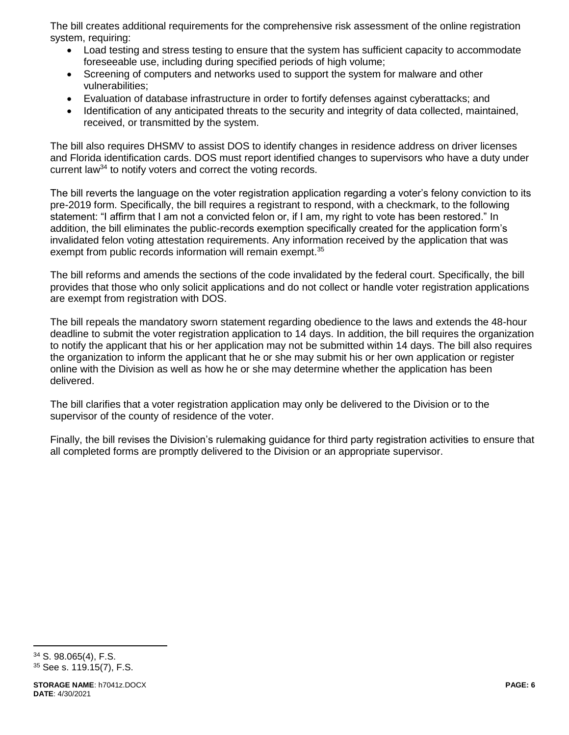The bill creates additional requirements for the comprehensive risk assessment of the online registration system, requiring:

- Load testing and stress testing to ensure that the system has sufficient capacity to accommodate foreseeable use, including during specified periods of high volume;
- Screening of computers and networks used to support the system for malware and other vulnerabilities;
- Evaluation of database infrastructure in order to fortify defenses against cyberattacks; and
- Identification of any anticipated threats to the security and integrity of data collected, maintained, received, or transmitted by the system.

The bill also requires DHSMV to assist DOS to identify changes in residence address on driver licenses and Florida identification cards. DOS must report identified changes to supervisors who have a duty under current law<sup>34</sup> to notify voters and correct the voting records.

The bill reverts the language on the voter registration application regarding a voter's felony conviction to its pre-2019 form. Specifically, the bill requires a registrant to respond, with a checkmark, to the following statement: "I affirm that I am not a convicted felon or, if I am, my right to vote has been restored." In addition, the bill eliminates the public-records exemption specifically created for the application form's invalidated felon voting attestation requirements. Any information received by the application that was exempt from public records information will remain exempt.<sup>35</sup>

The bill reforms and amends the sections of the code invalidated by the federal court. Specifically, the bill provides that those who only solicit applications and do not collect or handle voter registration applications are exempt from registration with DOS.

The bill repeals the mandatory sworn statement regarding obedience to the laws and extends the 48-hour deadline to submit the voter registration application to 14 days. In addition, the bill requires the organization to notify the applicant that his or her application may not be submitted within 14 days. The bill also requires the organization to inform the applicant that he or she may submit his or her own application or register online with the Division as well as how he or she may determine whether the application has been delivered.

The bill clarifies that a voter registration application may only be delivered to the Division or to the supervisor of the county of residence of the voter.

Finally, the bill revises the Division's rulemaking guidance for third party registration activities to ensure that all completed forms are promptly delivered to the Division or an appropriate supervisor.

<sup>34</sup> S. 98.065(4), F.S. <sup>35</sup> See s. 119.15(7), F.S.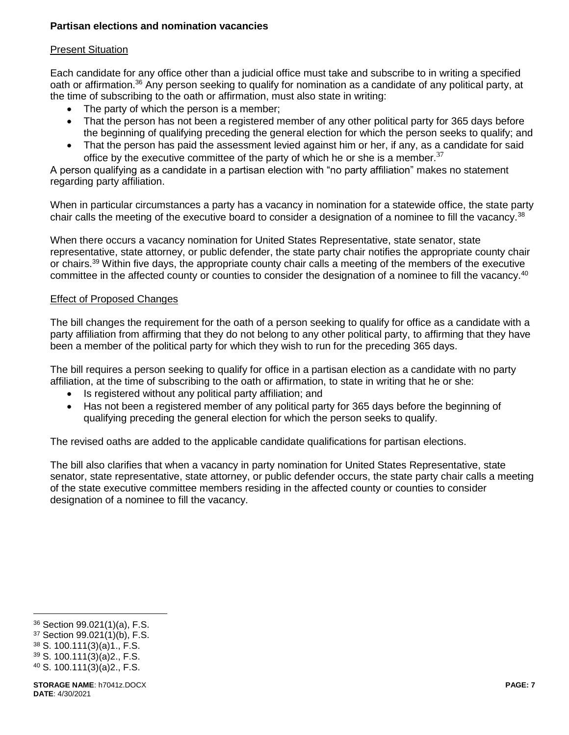## **Partisan elections and nomination vacancies**

## Present Situation

Each candidate for any office other than a judicial office must take and subscribe to in writing a specified oath or affirmation.<sup>36</sup> Any person seeking to qualify for nomination as a candidate of any political party, at the time of subscribing to the oath or affirmation, must also state in writing:

- The party of which the person is a member;
- That the person has not been a registered member of any other political party for 365 days before the beginning of qualifying preceding the general election for which the person seeks to qualify; and
- That the person has paid the assessment levied against him or her, if any, as a candidate for said office by the executive committee of the party of which he or she is a member.<sup>37</sup>

A person qualifying as a candidate in a partisan election with "no party affiliation" makes no statement regarding party affiliation.

When in particular circumstances a party has a vacancy in nomination for a statewide office, the state party chair calls the meeting of the executive board to consider a designation of a nominee to fill the vacancy.<sup>38</sup>

When there occurs a vacancy nomination for United States Representative, state senator, state representative, state attorney, or public defender, the state party chair notifies the appropriate county chair or chairs.<sup>39</sup> Within five days, the appropriate county chair calls a meeting of the members of the executive committee in the affected county or counties to consider the designation of a nominee to fill the vacancy.<sup>40</sup>

## Effect of Proposed Changes

The bill changes the requirement for the oath of a person seeking to qualify for office as a candidate with a party affiliation from affirming that they do not belong to any other political party, to affirming that they have been a member of the political party for which they wish to run for the preceding 365 days.

The bill requires a person seeking to qualify for office in a partisan election as a candidate with no party affiliation, at the time of subscribing to the oath or affirmation, to state in writing that he or she:

- Is registered without any political party affiliation; and
- Has not been a registered member of any political party for 365 days before the beginning of qualifying preceding the general election for which the person seeks to qualify.

The revised oaths are added to the applicable candidate qualifications for partisan elections.

The bill also clarifies that when a vacancy in party nomination for United States Representative, state senator, state representative, state attorney, or public defender occurs, the state party chair calls a meeting of the state executive committee members residing in the affected county or counties to consider designation of a nominee to fill the vacancy.

<sup>36</sup> Section 99.021(1)(a), F.S.

<sup>37</sup> Section 99.021(1)(b), F.S.

<sup>38</sup> S. 100.111(3)(a)1., F.S.

<sup>39</sup> S. 100.111(3)(a)2., F.S.

<sup>40</sup> S. 100.111(3)(a)2., F.S.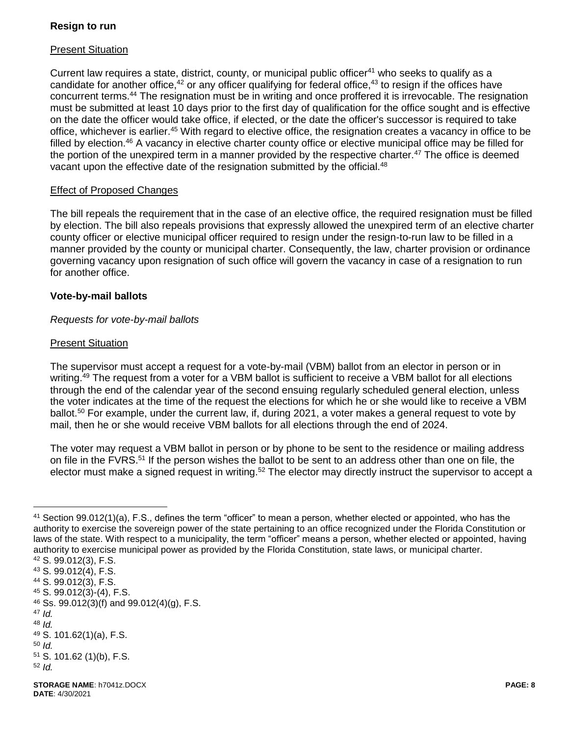## **Resign to run**

## Present Situation

Current law requires a state, district, county, or municipal public officer<sup>41</sup> who seeks to qualify as a candidate for another office,<sup>42</sup> or any officer qualifying for federal office,<sup>43</sup> to resign if the offices have concurrent terms.<sup>44</sup> The resignation must be in writing and once proffered it is irrevocable. The resignation must be submitted at least 10 days prior to the first day of qualification for the office sought and is effective on the date the officer would take office, if elected, or the date the officer's successor is required to take office, whichever is earlier.<sup>45</sup> With regard to elective office, the resignation creates a vacancy in office to be filled by election.<sup>46</sup> A vacancy in elective charter county office or elective municipal office may be filled for the portion of the unexpired term in a manner provided by the respective charter.<sup>47</sup> The office is deemed vacant upon the effective date of the resignation submitted by the official.<sup>48</sup>

## Effect of Proposed Changes

The bill repeals the requirement that in the case of an elective office, the required resignation must be filled by election. The bill also repeals provisions that expressly allowed the unexpired term of an elective charter county officer or elective municipal officer required to resign under the resign-to-run law to be filled in a manner provided by the county or municipal charter. Consequently, the law, charter provision or ordinance governing vacancy upon resignation of such office will govern the vacancy in case of a resignation to run for another office.

#### **Vote-by-mail ballots**

#### *Requests for vote-by-mail ballots*

#### Present Situation

The supervisor must accept a request for a vote-by-mail (VBM) ballot from an elector in person or in writing.<sup>49</sup> The request from a voter for a VBM ballot is sufficient to receive a VBM ballot for all elections through the end of the calendar year of the second ensuing regularly scheduled general election, unless the voter indicates at the time of the request the elections for which he or she would like to receive a VBM ballot.<sup>50</sup> For example, under the current law, if, during 2021, a voter makes a general request to vote by mail, then he or she would receive VBM ballots for all elections through the end of 2024.

The voter may request a VBM ballot in person or by phone to be sent to the residence or mailing address on file in the FVRS.<sup>51</sup> If the person wishes the ballot to be sent to an address other than one on file, the elector must make a signed request in writing.<sup>52</sup> The elector may directly instruct the supervisor to accept a

<sup>47</sup> *Id.* 

 $\overline{a}$ 

<sup>50</sup> *Id.*

<sup>41</sup> Section 99.012(1)(a), F.S., defines the term "officer" to mean a person, whether elected or appointed, who has the authority to exercise the sovereign power of the state pertaining to an office recognized under the Florida Constitution or laws of the state. With respect to a municipality, the term "officer" means a person, whether elected or appointed, having authority to exercise municipal power as provided by the Florida Constitution, state laws, or municipal charter.

<sup>42</sup> S. 99.012(3), F.S. <sup>43</sup> S. 99.012(4), F.S.

<sup>44</sup> S. 99.012(3), F.S.

<sup>45</sup> S. 99.012(3)-(4), F.S.

 $46$  Ss. 99.012(3)(f) and 99.012(4)(g), F.S.

<sup>48</sup> *Id.* 

<sup>49</sup> S. 101.62(1)(a), F.S.

<sup>51</sup> S. 101.62 (1)(b), F.S.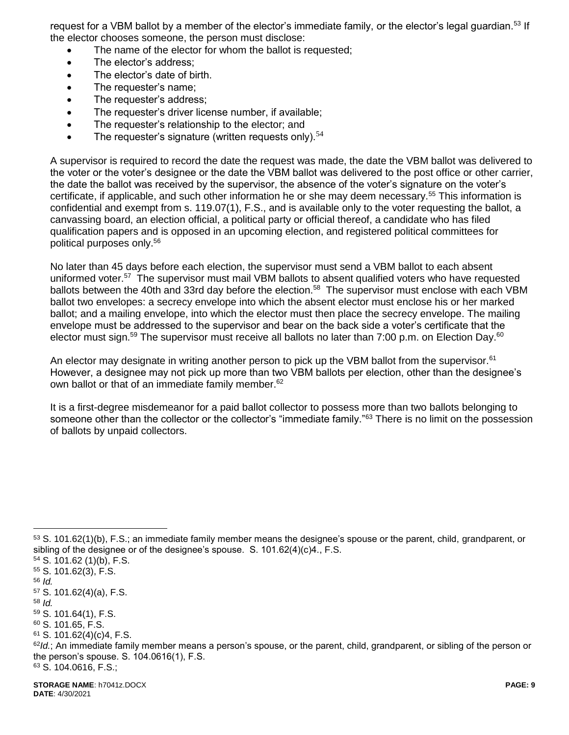request for a VBM ballot by a member of the elector's immediate family, or the elector's legal guardian.<sup>53</sup> If the elector chooses someone, the person must disclose:

- The name of the elector for whom the ballot is requested;
- The elector's address:
- The elector's date of birth.
- The requester's name;
- The requester's address;
- The requester's driver license number, if available;
- The requester's relationship to the elector: and
- The requester's signature (written requests only). $54$

A supervisor is required to record the date the request was made, the date the VBM ballot was delivered to the voter or the voter's designee or the date the VBM ballot was delivered to the post office or other carrier, the date the ballot was received by the supervisor, the absence of the voter's signature on the voter's certificate, if applicable, and such other information he or she may deem necessary.<sup>55</sup> This information is confidential and exempt from s. 119.07(1), F.S., and is available only to the voter requesting the ballot, a canvassing board, an election official, a political party or official thereof, a candidate who has filed qualification papers and is opposed in an upcoming election, and registered political committees for political purposes only.<sup>56</sup>

No later than 45 days before each election, the supervisor must send a VBM ballot to each absent uniformed voter.<sup>57</sup> The supervisor must mail VBM ballots to absent qualified voters who have requested ballots between the 40th and 33rd day before the election.<sup>58</sup> The supervisor must enclose with each VBM ballot two envelopes: a secrecy envelope into which the absent elector must enclose his or her marked ballot; and a mailing envelope, into which the elector must then place the secrecy envelope. The mailing envelope must be addressed to the supervisor and bear on the back side a voter's certificate that the elector must sign.<sup>59</sup> The supervisor must receive all ballots no later than 7:00 p.m. on Election Day.<sup>60</sup>

An elector may designate in writing another person to pick up the VBM ballot from the supervisor.<sup>61</sup> However, a designee may not pick up more than two VBM ballots per election, other than the designee's own ballot or that of an immediate family member.<sup>62</sup>

It is a first-degree misdemeanor for a paid ballot collector to possess more than two ballots belonging to someone other than the collector or the collector's "immediate family."<sup>63</sup> There is no limit on the possession of ballots by unpaid collectors.

 $\overline{a}$ 

 $61$  S. 101.62(4)(c)4, F.S.

<sup>53</sup> S. 101.62(1)(b), F.S.; an immediate family member means the designee's spouse or the parent, child, grandparent, or sibling of the designee or of the designee's spouse. S. 101.62(4)(c)4., F.S.

<sup>54</sup> S. 101.62 (1)(b), F.S.

<sup>55</sup> S. 101.62(3), F.S.

<sup>56</sup> *Id.*

<sup>57</sup> S. 101.62(4)(a), F.S. <sup>58</sup> *Id.*

<sup>59</sup> S. 101.64(1), F.S. <sup>60</sup> S. 101.65, F.S.

<sup>&</sup>lt;sup>62</sup>/d.; An immediate family member means a person's spouse, or the parent, child, grandparent, or sibling of the person or the person's spouse. S. 104.0616(1), F.S.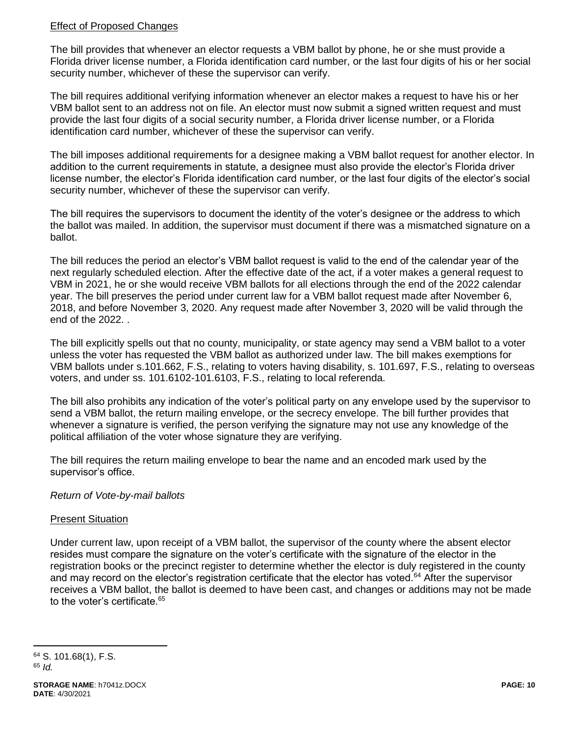## Effect of Proposed Changes

The bill provides that whenever an elector requests a VBM ballot by phone, he or she must provide a Florida driver license number, a Florida identification card number, or the last four digits of his or her social security number, whichever of these the supervisor can verify.

The bill requires additional verifying information whenever an elector makes a request to have his or her VBM ballot sent to an address not on file. An elector must now submit a signed written request and must provide the last four digits of a social security number, a Florida driver license number, or a Florida identification card number, whichever of these the supervisor can verify.

The bill imposes additional requirements for a designee making a VBM ballot request for another elector. In addition to the current requirements in statute, a designee must also provide the elector's Florida driver license number, the elector's Florida identification card number, or the last four digits of the elector's social security number, whichever of these the supervisor can verify.

The bill requires the supervisors to document the identity of the voter's designee or the address to which the ballot was mailed. In addition, the supervisor must document if there was a mismatched signature on a ballot.

The bill reduces the period an elector's VBM ballot request is valid to the end of the calendar year of the next regularly scheduled election. After the effective date of the act, if a voter makes a general request to VBM in 2021, he or she would receive VBM ballots for all elections through the end of the 2022 calendar year. The bill preserves the period under current law for a VBM ballot request made after November 6, 2018, and before November 3, 2020. Any request made after November 3, 2020 will be valid through the end of the 2022. .

The bill explicitly spells out that no county, municipality, or state agency may send a VBM ballot to a voter unless the voter has requested the VBM ballot as authorized under law. The bill makes exemptions for VBM ballots under s.101.662, F.S., relating to voters having disability, s. 101.697, F.S., relating to overseas voters, and under ss. 101.6102-101.6103, F.S., relating to local referenda.

The bill also prohibits any indication of the voter's political party on any envelope used by the supervisor to send a VBM ballot, the return mailing envelope, or the secrecy envelope. The bill further provides that whenever a signature is verified, the person verifying the signature may not use any knowledge of the political affiliation of the voter whose signature they are verifying.

The bill requires the return mailing envelope to bear the name and an encoded mark used by the supervisor's office.

## *Return of Vote-by-mail ballots*

## Present Situation

Under current law, upon receipt of a VBM ballot, the supervisor of the county where the absent elector resides must compare the signature on the voter's certificate with the signature of the elector in the registration books or the precinct register to determine whether the elector is duly registered in the county and may record on the elector's registration certificate that the elector has voted.<sup>64</sup> After the supervisor receives a VBM ballot, the ballot is deemed to have been cast, and changes or additions may not be made to the voter's certificate.<sup>65</sup>

<sup>64</sup> S. 101.68(1), F.S. <sup>65</sup> *Id.*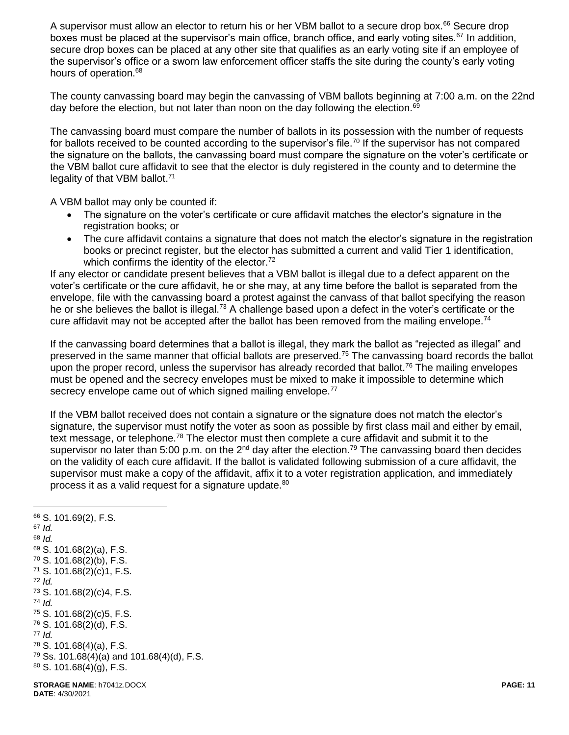A supervisor must allow an elector to return his or her VBM ballot to a secure drop box.<sup>66</sup> Secure drop boxes must be placed at the supervisor's main office, branch office, and early voting sites.<sup>67</sup> In addition, secure drop boxes can be placed at any other site that qualifies as an early voting site if an employee of the supervisor's office or a sworn law enforcement officer staffs the site during the county's early voting hours of operation.<sup>68</sup>

The county canvassing board may begin the canvassing of VBM ballots beginning at 7:00 a.m. on the 22nd day before the election, but not later than noon on the day following the election.<sup>69</sup>

The canvassing board must compare the number of ballots in its possession with the number of requests for ballots received to be counted according to the supervisor's file.<sup>70</sup> If the supervisor has not compared the signature on the ballots, the canvassing board must compare the signature on the voter's certificate or the VBM ballot cure affidavit to see that the elector is duly registered in the county and to determine the legality of that VBM ballot.<sup>71</sup>

A VBM ballot may only be counted if:

- The signature on the voter's certificate or cure affidavit matches the elector's signature in the registration books; or
- The cure affidavit contains a signature that does not match the elector's signature in the registration books or precinct register, but the elector has submitted a current and valid Tier 1 identification, which confirms the identity of the elector. $72$

If any elector or candidate present believes that a VBM ballot is illegal due to a defect apparent on the voter's certificate or the cure affidavit, he or she may, at any time before the ballot is separated from the envelope, file with the canvassing board a protest against the canvass of that ballot specifying the reason he or she believes the ballot is illegal.<sup>73</sup> A challenge based upon a defect in the voter's certificate or the cure affidavit may not be accepted after the ballot has been removed from the mailing envelope.<sup>74</sup>

If the canvassing board determines that a ballot is illegal, they mark the ballot as "rejected as illegal" and preserved in the same manner that official ballots are preserved.<sup>75</sup> The canvassing board records the ballot upon the proper record, unless the supervisor has already recorded that ballot.<sup>76</sup> The mailing envelopes must be opened and the secrecy envelopes must be mixed to make it impossible to determine which secrecy envelope came out of which signed mailing envelope.<sup>77</sup>

If the VBM ballot received does not contain a signature or the signature does not match the elector's signature, the supervisor must notify the voter as soon as possible by first class mail and either by email, text message, or telephone.<sup>78</sup> The elector must then complete a cure affidavit and submit it to the supervisor no later than 5:00 p.m. on the  $2^{nd}$  day after the election.<sup>79</sup> The canvassing board then decides on the validity of each cure affidavit. If the ballot is validated following submission of a cure affidavit, the supervisor must make a copy of the affidavit, affix it to a voter registration application, and immediately process it as a valid request for a signature update.<sup>80</sup>

 $\overline{a}$  S. 101.69(2), F.S. <sup>67</sup> *Id.* <sup>68</sup> *Id.* S. 101.68(2)(a), F.S. S. 101.68(2)(b), F.S. S. 101.68(2)(c)1, F.S. <sup>72</sup> *Id.* S. 101.68(2)(c)4, F.S. <sup>74</sup> *Id.* S. 101.68(2)(c)5, F.S. S. 101.68(2)(d), F.S. <sup>77</sup> *Id.* S. 101.68(4)(a), F.S. Ss. 101.68(4)(a) and 101.68(4)(d), F.S. S. 101.68(4)(g), F.S.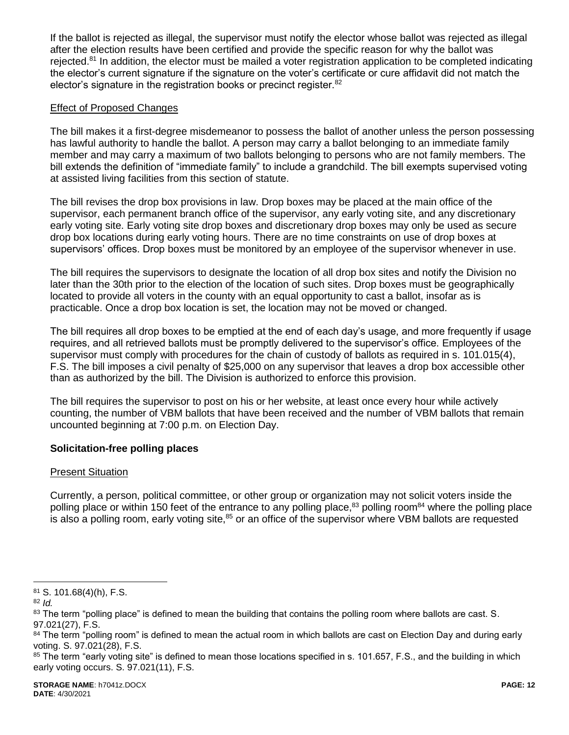If the ballot is rejected as illegal, the supervisor must notify the elector whose ballot was rejected as illegal after the election results have been certified and provide the specific reason for why the ballot was rejected.<sup>81</sup> In addition, the elector must be mailed a voter registration application to be completed indicating the elector's current signature if the signature on the voter's certificate or cure affidavit did not match the elector's signature in the registration books or precinct register.<sup>82</sup>

## Effect of Proposed Changes

The bill makes it a first-degree misdemeanor to possess the ballot of another unless the person possessing has lawful authority to handle the ballot. A person may carry a ballot belonging to an immediate family member and may carry a maximum of two ballots belonging to persons who are not family members. The bill extends the definition of "immediate family" to include a grandchild. The bill exempts supervised voting at assisted living facilities from this section of statute.

The bill revises the drop box provisions in law. Drop boxes may be placed at the main office of the supervisor, each permanent branch office of the supervisor, any early voting site, and any discretionary early voting site. Early voting site drop boxes and discretionary drop boxes may only be used as secure drop box locations during early voting hours. There are no time constraints on use of drop boxes at supervisors' offices. Drop boxes must be monitored by an employee of the supervisor whenever in use.

The bill requires the supervisors to designate the location of all drop box sites and notify the Division no later than the 30th prior to the election of the location of such sites. Drop boxes must be geographically located to provide all voters in the county with an equal opportunity to cast a ballot, insofar as is practicable. Once a drop box location is set, the location may not be moved or changed.

The bill requires all drop boxes to be emptied at the end of each day's usage, and more frequently if usage requires, and all retrieved ballots must be promptly delivered to the supervisor's office. Employees of the supervisor must comply with procedures for the chain of custody of ballots as required in s. 101.015(4), F.S. The bill imposes a civil penalty of \$25,000 on any supervisor that leaves a drop box accessible other than as authorized by the bill. The Division is authorized to enforce this provision.

The bill requires the supervisor to post on his or her website, at least once every hour while actively counting, the number of VBM ballots that have been received and the number of VBM ballots that remain uncounted beginning at 7:00 p.m. on Election Day.

## **Solicitation-free polling places**

## Present Situation

Currently, a person, political committee, or other group or organization may not solicit voters inside the polling place or within 150 feet of the entrance to any polling place,<sup>83</sup> polling room<sup>84</sup> where the polling place is also a polling room, early voting site,<sup>85</sup> or an office of the supervisor where VBM ballots are requested

<sup>81</sup> S. 101.68(4)(h), F.S.

<sup>82</sup> *Id.*

<sup>83</sup> The term "polling place" is defined to mean the building that contains the polling room where ballots are cast. S. 97.021(27), F.S.

<sup>&</sup>lt;sup>84</sup> The term "polling room" is defined to mean the actual room in which ballots are cast on Election Day and during early voting. S. 97.021(28), F.S.

<sup>85</sup> The term "early voting site" is defined to mean those locations specified in s. 101.657, F.S., and the building in which early voting occurs. S. 97.021(11), F.S.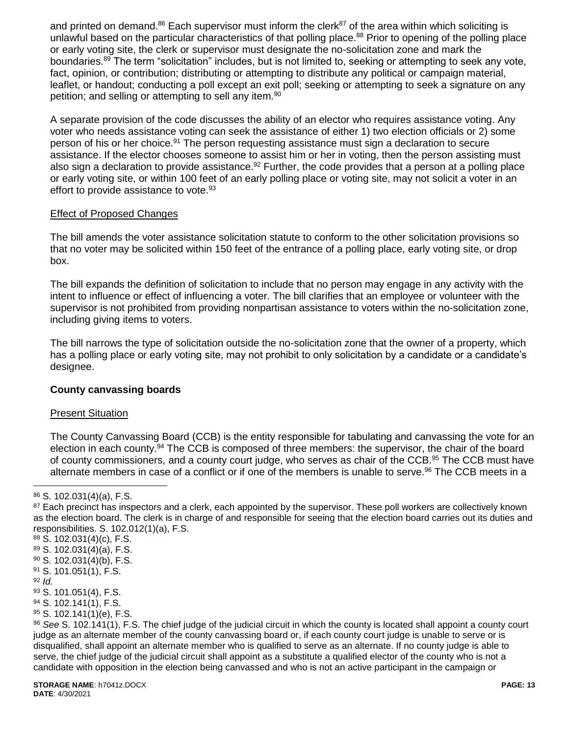and printed on demand. $86$  Each supervisor must inform the clerk $87$  of the area within which soliciting is unlawful based on the particular characteristics of that polling place.<sup>88</sup> Prior to opening of the polling place or early voting site, the clerk or supervisor must designate the no-solicitation zone and mark the boundaries.<sup>89</sup> The term "solicitation" includes, but is not limited to, seeking or attempting to seek any vote, fact, opinion, or contribution; distributing or attempting to distribute any political or campaign material, leaflet, or handout; conducting a poll except an exit poll; seeking or attempting to seek a signature on any petition; and selling or attempting to sell any item.<sup>90</sup>

A separate provision of the code discusses the ability of an elector who requires assistance voting. Any voter who needs assistance voting can seek the assistance of either 1) two election officials or 2) some person of his or her choice.<sup>91</sup> The person requesting assistance must sign a declaration to secure assistance. If the elector chooses someone to assist him or her in voting, then the person assisting must also sign a declaration to provide assistance.<sup>92</sup> Further, the code provides that a person at a polling place or early voting site, or within 100 feet of an early polling place or voting site, may not solicit a voter in an effort to provide assistance to vote.<sup>93</sup>

## Effect of Proposed Changes

The bill amends the voter assistance solicitation statute to conform to the other solicitation provisions so that no voter may be solicited within 150 feet of the entrance of a polling place, early voting site, or drop box.

The bill expands the definition of solicitation to include that no person may engage in any activity with the intent to influence or effect of influencing a voter. The bill clarifies that an employee or volunteer with the supervisor is not prohibited from providing nonpartisan assistance to voters within the no-solicitation zone, including giving items to voters.

The bill narrows the type of solicitation outside the no-solicitation zone that the owner of a property, which has a polling place or early voting site, may not prohibit to only solicitation by a candidate or a candidate's designee.

## **County canvassing boards**

## Present Situation

The County Canvassing Board (CCB) is the entity responsible for tabulating and canvassing the vote for an election in each county.<sup>94</sup> The CCB is composed of three members: the supervisor, the chair of the board of county commissioners, and a county court judge, who serves as chair of the CCB.<sup>95</sup> The CCB must have alternate members in case of a conflict or if one of the members is unable to serve.<sup>96</sup> The CCB meets in a

<sup>91</sup> S. 101.051(1), F.S.

 $\overline{a}$ 

 $95$  S. 102.141(1)(e), F.S.

<sup>86</sup> S. 102.031(4)(a), F.S.

<sup>&</sup>lt;sup>87</sup> Each precinct has inspectors and a clerk, each appointed by the supervisor. These poll workers are collectively known as the election board. The clerk is in charge of and responsible for seeing that the election board carries out its duties and responsibilities. S. 102.012(1)(a), F.S.

<sup>88</sup> S. 102.031(4)(c), F.S.

 $89$  S. 102.031(4)(a), F.S.

 $90$  S. 102.031(4)(b), F.S.

<sup>92</sup> *Id.*

<sup>93</sup> S. 101.051(4), F.S.

<sup>94</sup> S. 102.141(1), F.S.

<sup>96</sup> *See* S. 102.141(1), F.S. The chief judge of the judicial circuit in which the county is located shall appoint a county court judge as an alternate member of the county canvassing board or, if each county court judge is unable to serve or is disqualified, shall appoint an alternate member who is qualified to serve as an alternate. If no county judge is able to serve, the chief judge of the judicial circuit shall appoint as a substitute a qualified elector of the county who is not a candidate with opposition in the election being canvassed and who is not an active participant in the campaign or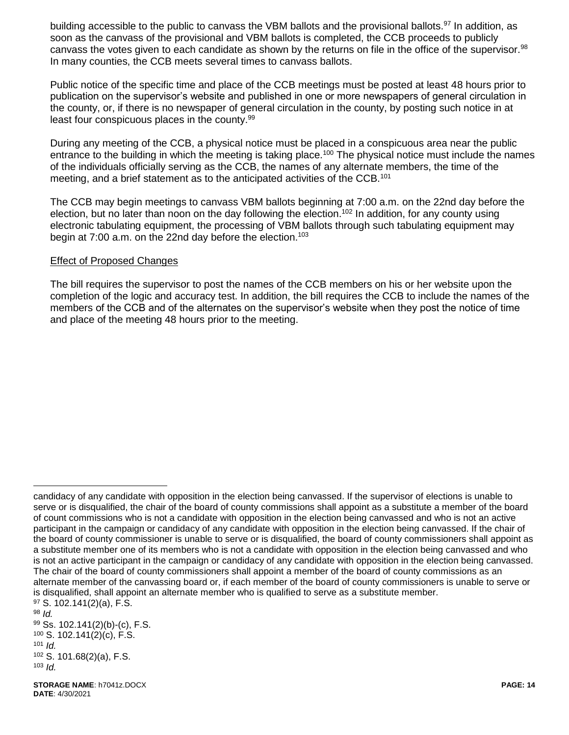building accessible to the public to canvass the VBM ballots and the provisional ballots.<sup>97</sup> In addition. as soon as the canvass of the provisional and VBM ballots is completed, the CCB proceeds to publicly canvass the votes given to each candidate as shown by the returns on file in the office of the supervisor.<sup>98</sup> In many counties, the CCB meets several times to canvass ballots.

Public notice of the specific time and place of the CCB meetings must be posted at least 48 hours prior to publication on the supervisor's website and published in one or more newspapers of general circulation in the county, or, if there is no newspaper of general circulation in the county, by posting such notice in at least four conspicuous places in the county.<sup>99</sup>

During any meeting of the CCB, a physical notice must be placed in a conspicuous area near the public entrance to the building in which the meeting is taking place.<sup>100</sup> The physical notice must include the names of the individuals officially serving as the CCB, the names of any alternate members, the time of the meeting, and a brief statement as to the anticipated activities of the CCB.<sup>101</sup>

The CCB may begin meetings to canvass VBM ballots beginning at 7:00 a.m. on the 22nd day before the election, but no later than noon on the day following the election.<sup>102</sup> In addition, for any county using electronic tabulating equipment, the processing of VBM ballots through such tabulating equipment may begin at 7:00 a.m. on the 22nd day before the election.<sup>103</sup>

#### Effect of Proposed Changes

The bill requires the supervisor to post the names of the CCB members on his or her website upon the completion of the logic and accuracy test. In addition, the bill requires the CCB to include the names of the members of the CCB and of the alternates on the supervisor's website when they post the notice of time and place of the meeting 48 hours prior to the meeting.

candidacy of any candidate with opposition in the election being canvassed. If the supervisor of elections is unable to serve or is disqualified, the chair of the board of county commissions shall appoint as a substitute a member of the board of count commissions who is not a candidate with opposition in the election being canvassed and who is not an active participant in the campaign or candidacy of any candidate with opposition in the election being canvassed. If the chair of the board of county commissioner is unable to serve or is disqualified, the board of county commissioners shall appoint as a substitute member one of its members who is not a candidate with opposition in the election being canvassed and who is not an active participant in the campaign or candidacy of any candidate with opposition in the election being canvassed. The chair of the board of county commissioners shall appoint a member of the board of county commissions as an alternate member of the canvassing board or, if each member of the board of county commissioners is unable to serve or is disqualified, shall appoint an alternate member who is qualified to serve as a substitute member. <sup>97</sup> S. 102.141(2)(a), F.S.

<sup>98</sup> *Id.*

<sup>99</sup> Ss. 102.141(2)(b)-(c), F.S. <sup>100</sup> S. 102.141(2)(c), F.S. <sup>101</sup> *Id.*

<sup>102</sup> S. 101.68(2)(a), F.S. <sup>103</sup> *Id.*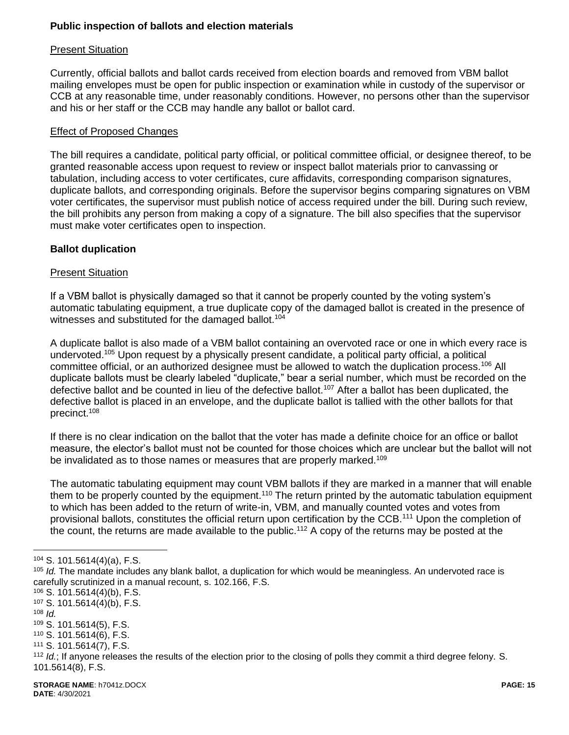## **Public inspection of ballots and election materials**

#### Present Situation

Currently, official ballots and ballot cards received from election boards and removed from VBM ballot mailing envelopes must be open for public inspection or examination while in custody of the supervisor or CCB at any reasonable time, under reasonably conditions. However, no persons other than the supervisor and his or her staff or the CCB may handle any ballot or ballot card.

#### Effect of Proposed Changes

The bill requires a candidate, political party official, or political committee official, or designee thereof, to be granted reasonable access upon request to review or inspect ballot materials prior to canvassing or tabulation, including access to voter certificates, cure affidavits, corresponding comparison signatures, duplicate ballots, and corresponding originals. Before the supervisor begins comparing signatures on VBM voter certificates, the supervisor must publish notice of access required under the bill. During such review, the bill prohibits any person from making a copy of a signature. The bill also specifies that the supervisor must make voter certificates open to inspection.

## **Ballot duplication**

#### Present Situation

If a VBM ballot is physically damaged so that it cannot be properly counted by the voting system's automatic tabulating equipment, a true duplicate copy of the damaged ballot is created in the presence of witnesses and substituted for the damaged ballot.<sup>104</sup>

A duplicate ballot is also made of a VBM ballot containing an overvoted race or one in which every race is undervoted.<sup>105</sup> Upon request by a physically present candidate, a political party official, a political committee official, or an authorized designee must be allowed to watch the duplication process.<sup>106</sup> All duplicate ballots must be clearly labeled "duplicate," bear a serial number, which must be recorded on the defective ballot and be counted in lieu of the defective ballot.<sup>107</sup> After a ballot has been duplicated, the defective ballot is placed in an envelope, and the duplicate ballot is tallied with the other ballots for that precinct.<sup>108</sup>

If there is no clear indication on the ballot that the voter has made a definite choice for an office or ballot measure, the elector's ballot must not be counted for those choices which are unclear but the ballot will not be invalidated as to those names or measures that are properly marked.<sup>109</sup>

The automatic tabulating equipment may count VBM ballots if they are marked in a manner that will enable them to be properly counted by the equipment.<sup>110</sup> The return printed by the automatic tabulation equipment to which has been added to the return of write-in, VBM, and manually counted votes and votes from provisional ballots, constitutes the official return upon certification by the CCB.<sup>111</sup> Upon the completion of the count, the returns are made available to the public.<sup>112</sup> A copy of the returns may be posted at the

<sup>108</sup> *Id.*

<sup>104</sup> S. 101.5614(4)(a), F.S.

<sup>105</sup> *Id.* The mandate includes any blank ballot, a duplication for which would be meaningless. An undervoted race is carefully scrutinized in a manual recount, s. 102.166, F.S.

<sup>106</sup> S. 101.5614(4)(b), F.S.

<sup>107</sup> S. 101.5614(4)(b), F.S.

<sup>109</sup> S. 101.5614(5), F.S.

<sup>110</sup> S. 101.5614(6), F.S.

<sup>111</sup> S. 101.5614(7), F.S.

<sup>112</sup> *Id.*; If anyone releases the results of the election prior to the closing of polls they commit a third degree felony. S. 101.5614(8), F.S.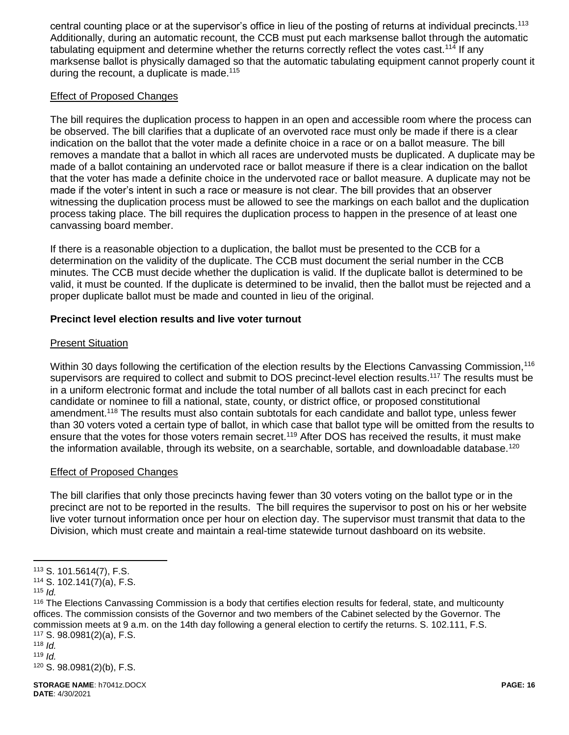central counting place or at the supervisor's office in lieu of the posting of returns at individual precincts.<sup>113</sup> Additionally, during an automatic recount, the CCB must put each marksense ballot through the automatic tabulating equipment and determine whether the returns correctly reflect the votes cast.<sup>114</sup> If any marksense ballot is physically damaged so that the automatic tabulating equipment cannot properly count it during the recount, a duplicate is made.<sup>115</sup>

## Effect of Proposed Changes

The bill requires the duplication process to happen in an open and accessible room where the process can be observed. The bill clarifies that a duplicate of an overvoted race must only be made if there is a clear indication on the ballot that the voter made a definite choice in a race or on a ballot measure. The bill removes a mandate that a ballot in which all races are undervoted musts be duplicated. A duplicate may be made of a ballot containing an undervoted race or ballot measure if there is a clear indication on the ballot that the voter has made a definite choice in the undervoted race or ballot measure. A duplicate may not be made if the voter's intent in such a race or measure is not clear. The bill provides that an observer witnessing the duplication process must be allowed to see the markings on each ballot and the duplication process taking place. The bill requires the duplication process to happen in the presence of at least one canvassing board member.

If there is a reasonable objection to a duplication, the ballot must be presented to the CCB for a determination on the validity of the duplicate. The CCB must document the serial number in the CCB minutes. The CCB must decide whether the duplication is valid. If the duplicate ballot is determined to be valid, it must be counted. If the duplicate is determined to be invalid, then the ballot must be rejected and a proper duplicate ballot must be made and counted in lieu of the original.

## **Precinct level election results and live voter turnout**

## Present Situation

Within 30 days following the certification of the election results by the Elections Canvassing Commission,<sup>116</sup> supervisors are required to collect and submit to DOS precinct-level election results.<sup>117</sup> The results must be in a uniform electronic format and include the total number of all ballots cast in each precinct for each candidate or nominee to fill a national, state, county, or district office, or proposed constitutional amendment.<sup>118</sup> The results must also contain subtotals for each candidate and ballot type, unless fewer than 30 voters voted a certain type of ballot, in which case that ballot type will be omitted from the results to ensure that the votes for those voters remain secret.<sup>119</sup> After DOS has received the results, it must make the information available, through its website, on a searchable, sortable, and downloadable database.<sup>120</sup>

## Effect of Proposed Changes

The bill clarifies that only those precincts having fewer than 30 voters voting on the ballot type or in the precinct are not to be reported in the results. The bill requires the supervisor to post on his or her website live voter turnout information once per hour on election day. The supervisor must transmit that data to the Division, which must create and maintain a real-time statewide turnout dashboard on its website.

<sup>113</sup> S. 101.5614(7), F.S.

<sup>114</sup> S. 102.141(7)(a), F.S.

<sup>115</sup> *Id.*

<sup>&</sup>lt;sup>116</sup> The Elections Canvassing Commission is a body that certifies election results for federal, state, and multicounty offices. The commission consists of the Governor and two members of the Cabinet selected by the Governor. The commission meets at 9 a.m. on the 14th day following a general election to certify the returns. S. 102.111, F.S. <sup>117</sup> S. 98.0981(2)(a), F.S.

<sup>118</sup> *Id.* 

 $119$  *Id.* 

<sup>120</sup> S. 98.0981(2)(b), F.S.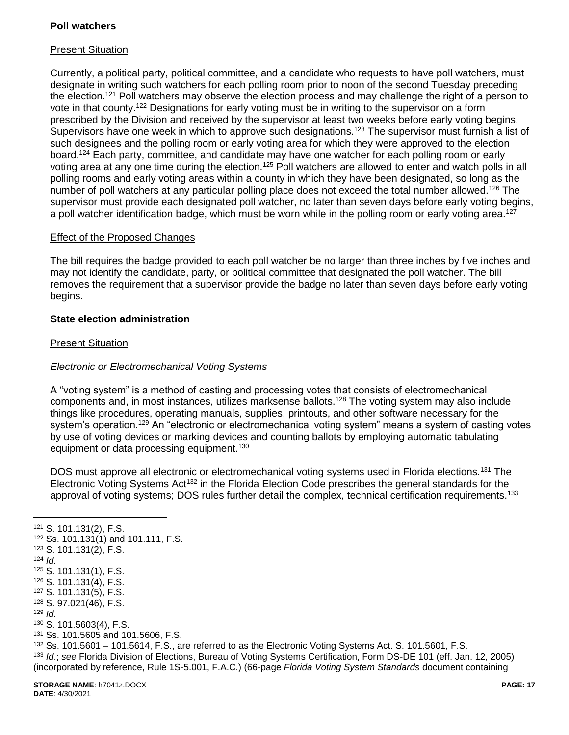## **Poll watchers**

## Present Situation

Currently, a political party, political committee, and a candidate who requests to have poll watchers, must designate in writing such watchers for each polling room prior to noon of the second Tuesday preceding the election.<sup>121</sup> Poll watchers may observe the election process and may challenge the right of a person to vote in that county.<sup>122</sup> Designations for early voting must be in writing to the supervisor on a form prescribed by the Division and received by the supervisor at least two weeks before early voting begins. Supervisors have one week in which to approve such designations.<sup>123</sup> The supervisor must furnish a list of such designees and the polling room or early voting area for which they were approved to the election board.<sup>124</sup> Each party, committee, and candidate may have one watcher for each polling room or early voting area at any one time during the election.<sup>125</sup> Poll watchers are allowed to enter and watch polls in all polling rooms and early voting areas within a county in which they have been designated, so long as the number of poll watchers at any particular polling place does not exceed the total number allowed.<sup>126</sup> The supervisor must provide each designated poll watcher, no later than seven days before early voting begins, a poll watcher identification badge, which must be worn while in the polling room or early voting area.<sup>127</sup>

#### Effect of the Proposed Changes

The bill requires the badge provided to each poll watcher be no larger than three inches by five inches and may not identify the candidate, party, or political committee that designated the poll watcher. The bill removes the requirement that a supervisor provide the badge no later than seven days before early voting begins.

## **State election administration**

#### Present Situation

## *Electronic or Electromechanical Voting Systems*

A "voting system" is a method of casting and processing votes that consists of electromechanical components and, in most instances, utilizes marksense ballots.<sup>128</sup> The voting system may also include things like procedures, operating manuals, supplies, printouts, and other software necessary for the system's operation.<sup>129</sup> An "electronic or electromechanical voting system" means a system of casting votes by use of voting devices or marking devices and counting ballots by employing automatic tabulating equipment or data processing equipment.<sup>130</sup>

DOS must approve all electronic or electromechanical voting systems used in Florida elections.<sup>131</sup> The Electronic Voting Systems Act<sup>132</sup> in the Florida Election Code prescribes the general standards for the approval of voting systems; DOS rules further detail the complex, technical certification requirements.<sup>133</sup>

**STORAGE NAME**: h7041z.DOCX **PAGE: 17**  $\overline{a}$  S. 101.131(2), F.S. Ss. 101.131(1) and 101.111, F.S. S. 101.131(2), F.S.  $124$  *Id.*  S. 101.131(1), F.S. S. 101.131(4), F.S. S. 101.131(5), F.S. S. 97.021(46), F.S. <sup>129</sup> *Id.* S. 101.5603(4), F.S. Ss. 101.5605 and 101.5606, F.S. Ss. 101.5601 – 101.5614, F.S., are referred to as the Electronic Voting Systems Act. S. 101.5601, F.S. *Id*.; *see* Florida Division of Elections, Bureau of Voting Systems Certification, Form DS-DE 101 (eff. Jan. 12, 2005) (incorporated by reference, Rule 1S-5.001, F.A.C.) (66-page *Florida Voting System Standards* document containing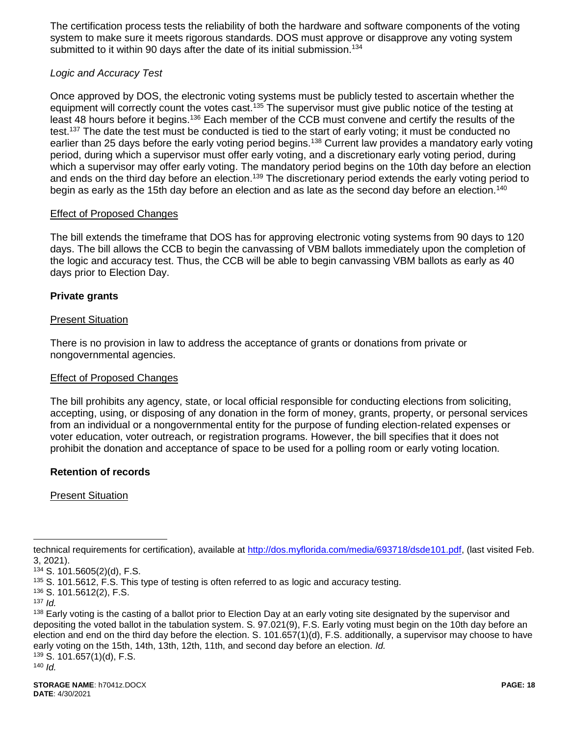The certification process tests the reliability of both the hardware and software components of the voting system to make sure it meets rigorous standards. DOS must approve or disapprove any voting system submitted to it within 90 days after the date of its initial submission.<sup>134</sup>

## *Logic and Accuracy Test*

Once approved by DOS, the electronic voting systems must be publicly tested to ascertain whether the equipment will correctly count the votes cast.<sup>135</sup> The supervisor must give public notice of the testing at least 48 hours before it begins.<sup>136</sup> Each member of the CCB must convene and certify the results of the test.<sup>137</sup> The date the test must be conducted is tied to the start of early voting; it must be conducted no earlier than 25 days before the early voting period begins.<sup>138</sup> Current law provides a mandatory early voting period, during which a supervisor must offer early voting, and a discretionary early voting period, during which a supervisor may offer early voting. The mandatory period begins on the 10th day before an election and ends on the third day before an election.<sup>139</sup> The discretionary period extends the early voting period to begin as early as the 15th day before an election and as late as the second day before an election.<sup>140</sup>

#### Effect of Proposed Changes

The bill extends the timeframe that DOS has for approving electronic voting systems from 90 days to 120 days. The bill allows the CCB to begin the canvassing of VBM ballots immediately upon the completion of the logic and accuracy test. Thus, the CCB will be able to begin canvassing VBM ballots as early as 40 days prior to Election Day.

## **Private grants**

#### Present Situation

There is no provision in law to address the acceptance of grants or donations from private or nongovernmental agencies.

#### Effect of Proposed Changes

The bill prohibits any agency, state, or local official responsible for conducting elections from soliciting, accepting, using, or disposing of any donation in the form of money, grants, property, or personal services from an individual or a nongovernmental entity for the purpose of funding election-related expenses or voter education, voter outreach, or registration programs. However, the bill specifies that it does not prohibit the donation and acceptance of space to be used for a polling room or early voting location.

## **Retention of records**

Present Situation

technical requirements for certification), available at [http://dos.myflorida.com/media/693718/dsde101.pdf,](http://dos.myflorida.com/media/693718/dsde101.pdf) (last visited Feb. 3, 2021).

<sup>134</sup> S. 101.5605(2)(d), F.S.

<sup>&</sup>lt;sup>135</sup> S. 101.5612, F.S. This type of testing is often referred to as logic and accuracy testing.

<sup>136</sup> S. 101.5612(2), F.S.

<sup>137</sup> *Id.* 

<sup>&</sup>lt;sup>138</sup> Early voting is the casting of a ballot prior to Election Day at an early voting site designated by the supervisor and depositing the voted ballot in the tabulation system. S. 97.021(9), F.S. Early voting must begin on the 10th day before an election and end on the third day before the election. S. 101.657(1)(d), F.S. additionally, a supervisor may choose to have early voting on the 15th, 14th, 13th, 12th, 11th, and second day before an election. *Id.*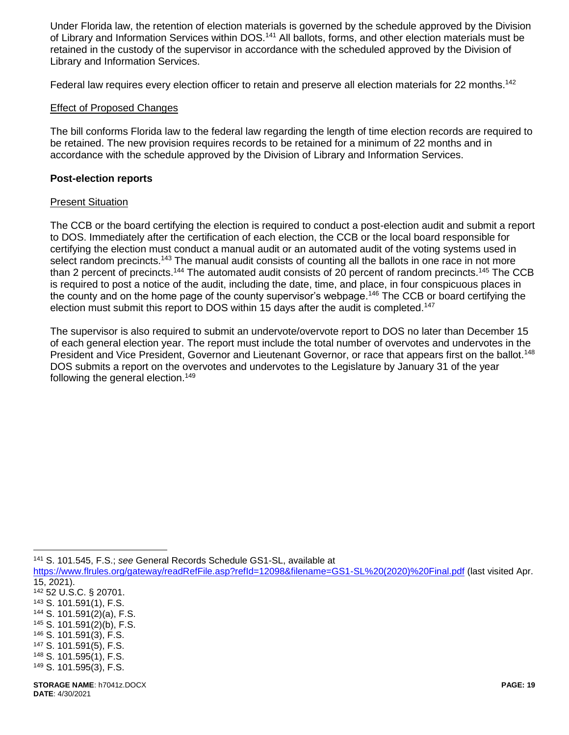Under Florida law, the retention of election materials is governed by the schedule approved by the Division of Library and Information Services within DOS.<sup>141</sup> All ballots, forms, and other election materials must be retained in the custody of the supervisor in accordance with the scheduled approved by the Division of Library and Information Services.

Federal law requires every election officer to retain and preserve all election materials for 22 months.<sup>142</sup>

#### Effect of Proposed Changes

The bill conforms Florida law to the federal law regarding the length of time election records are required to be retained. The new provision requires records to be retained for a minimum of 22 months and in accordance with the schedule approved by the Division of Library and Information Services.

#### **Post-election reports**

#### Present Situation

The CCB or the board certifying the election is required to conduct a post-election audit and submit a report to DOS. Immediately after the certification of each election, the CCB or the local board responsible for certifying the election must conduct a manual audit or an automated audit of the voting systems used in select random precincts.<sup>143</sup> The manual audit consists of counting all the ballots in one race in not more than 2 percent of precincts.<sup>144</sup> The automated audit consists of 20 percent of random precincts.<sup>145</sup> The CCB is required to post a notice of the audit, including the date, time, and place, in four conspicuous places in the county and on the home page of the county supervisor's webpage.<sup>146</sup> The CCB or board certifying the election must submit this report to DOS within 15 days after the audit is completed.<sup>147</sup>

The supervisor is also required to submit an undervote/overvote report to DOS no later than December 15 of each general election year. The report must include the total number of overvotes and undervotes in the President and Vice President, Governor and Lieutenant Governor, or race that appears first on the ballot.<sup>148</sup> DOS submits a report on the overvotes and undervotes to the Legislature by January 31 of the year following the general election.<sup>149</sup>

<sup>141</sup> S. 101.545, F.S.; *see* General Records Schedule GS1-SL, available at

[https://www.flrules.org/gateway/readRefFile.asp?refId=12098&filename=GS1-SL%20\(2020\)%20Final.pdf](https://www.flrules.org/gateway/readRefFile.asp?refId=12098&filename=GS1-SL%20(2020)%20Final.pdf) (last visited Apr. 15, 2021).

<sup>142</sup> 52 U.S.C. § 20701. <sup>143</sup> S. 101.591(1), F.S.

- <sup>144</sup> S. 101.591(2)(a), F.S.
- <sup>145</sup> S. 101.591(2)(b), F.S.
- <sup>146</sup> S. 101.591(3), F.S.
- <sup>147</sup> S. 101.591(5), F.S.
- <sup>148</sup> S. 101.595(1), F.S.
- <sup>149</sup> S. 101.595(3), F.S.